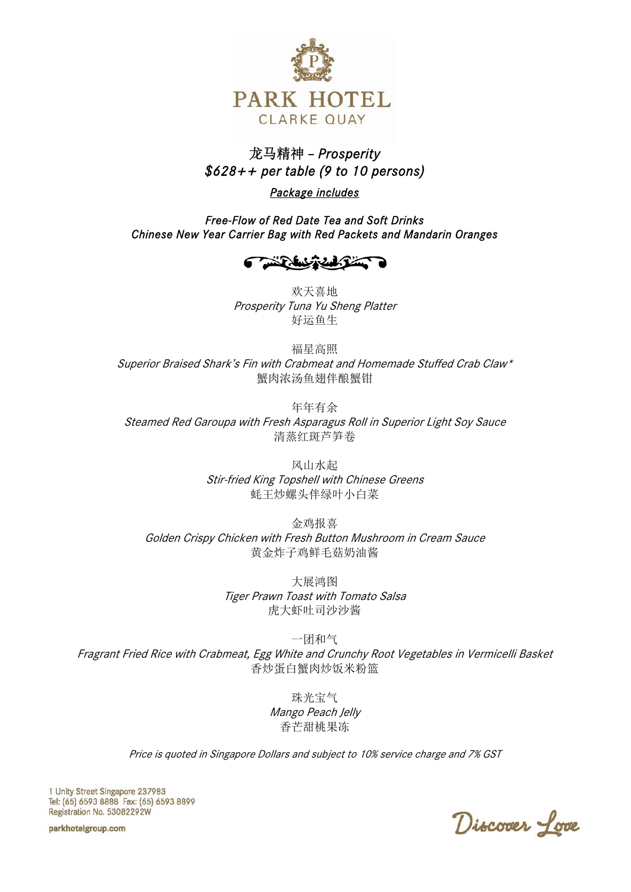

# 龙马精神 *– Prosperity \$628++ per table (9 to 10 persons)*

*Package includes* 

*Free-Flow of Red Date Tea and Soft Drinks Chinese New Year Carrier Bag with Red Packets and Mandarin Oranges* 



欢天喜地 Prosperity Tuna Yu Sheng Platter 好运鱼生

福星高照 Superior Braised Shark's Fin with Crabmeat and Homemade Stuffed Crab Claw\* 蟹肉浓汤鱼翅伴酿蟹钳

年年有余 Steamed Red Garoupa with Fresh Asparagus Roll in Superior Light Soy Sauce 清蒸红斑芦笋卷

> 风山水起 Stir-fried King Topshell with Chinese Greens 蚝王炒螺头伴绿叶小白菜

金鸡报喜 Golden Crispy Chicken with Fresh Button Mushroom in Cream Sauce 黄金炸子鸡鲜毛菇奶油酱

> 大展鸿图 Tiger Prawn Toast with Tomato Salsa 虎大虾吐司沙沙酱

一团和气 Fragrant Fried Rice with Crabmeat, Egg White and Crunchy Root Vegetables in Vermicelli Basket 香炒蛋白蟹肉炒饭米粉篮

> 珠光宝气 Mango Peach Jelly 香芒甜桃果冻

Price is quoted in Singapore Dollars and subject to 10% service charge and 7% GST

1 Unity Street Singapore 237983 Tel: (65) 6593 8888 Fax: (65) 6593 8899 Registration No. 53082292W

Discover Love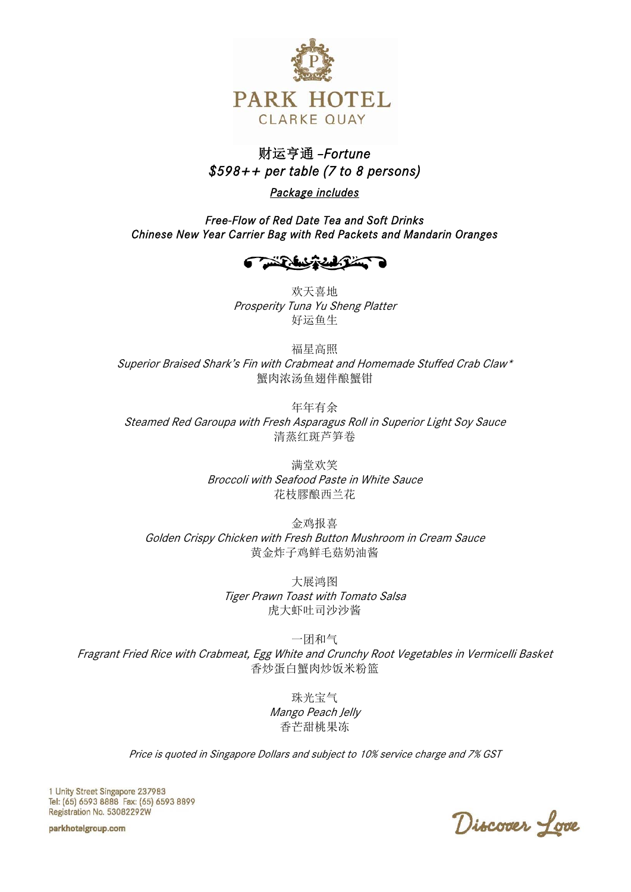

## 财运亨通 *–Fortune \$598++ per table (7 to 8 persons)*

*Package includes* 

*Free-Flow of Red Date Tea and Soft Drinks Chinese New Year Carrier Bag with Red Packets and Mandarin Oranges* 



欢天喜地 Prosperity Tuna Yu Sheng Platter 好运鱼生

福星高照 Superior Braised Shark's Fin with Crabmeat and Homemade Stuffed Crab Claw\* 蟹肉浓汤鱼翅伴酿蟹钳

年年有余 Steamed Red Garoupa with Fresh Asparagus Roll in Superior Light Soy Sauce 清蒸红斑芦笋卷

> 满堂欢笑 Broccoli with Seafood Paste in White Sauce 花枝膠酿西兰花

金鸡报喜 Golden Crispy Chicken with Fresh Button Mushroom in Cream Sauce 黄金炸子鸡鲜毛菇奶油酱

> 大展鸿图 Tiger Prawn Toast with Tomato Salsa 虎大虾吐司沙沙酱

一团和气 Fragrant Fried Rice with Crabmeat, Egg White and Crunchy Root Vegetables in Vermicelli Basket 香炒蛋白蟹肉炒饭米粉篮

> 珠光宝气 Mango Peach Jelly 香芒甜桃果冻

Price is quoted in Singapore Dollars and subject to 10% service charge and 7% GST

1 Unity Street Singapore 237983 Tel: (65) 6593 8888 Fax: (65) 6593 8899 Registration No. 53082292W

Discover Love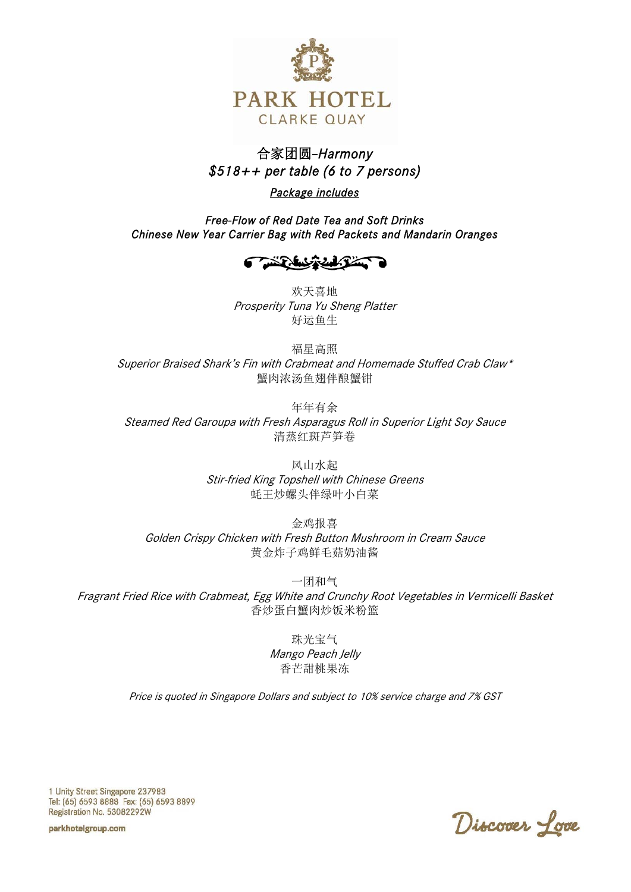

## 合家团圆*–Harmony \$518++ per table (6 to 7 persons)*

*Package includes* 

*Free-Flow of Red Date Tea and Soft Drinks Chinese New Year Carrier Bag with Red Packets and Mandarin Oranges* 



欢天喜地 Prosperity Tuna Yu Sheng Platter 好运鱼生

福星高照 Superior Braised Shark's Fin with Crabmeat and Homemade Stuffed Crab Claw\* 蟹肉浓汤鱼翅伴酿蟹钳

年年有余 Steamed Red Garoupa with Fresh Asparagus Roll in Superior Light Soy Sauce 清蒸红斑芦笋卷

> 风山水起 Stir-fried King Topshell with Chinese Greens 蚝王炒螺头伴绿叶小白菜

金鸡报喜 Golden Crispy Chicken with Fresh Button Mushroom in Cream Sauce 黄金炸子鸡鲜毛菇奶油酱

一团和气 Fragrant Fried Rice with Crabmeat, Egg White and Crunchy Root Vegetables in Vermicelli Basket 香炒蛋白蟹肉炒饭米粉篮

> 珠光宝气 Mango Peach Jelly 香芒甜桃果冻

Price is quoted in Singapore Dollars and subject to 10% service charge and 7% GST

1 Unity Street Singapore 237983 Tel: (65) 6593 8888 Fax: (65) 6593 8899 Registration No. 53082292W

Discover Love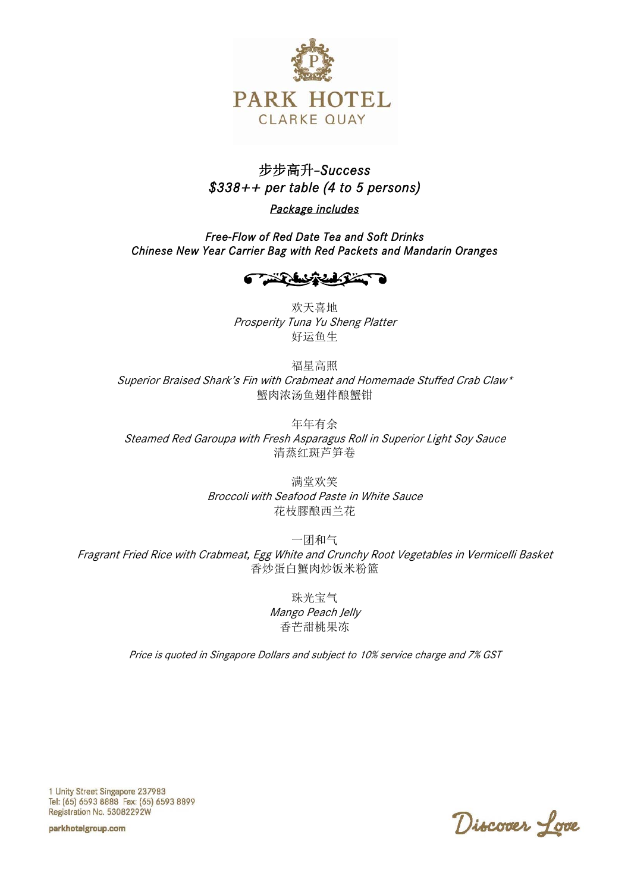

### 步步高升*–Success \$338++ per table (4 to 5 persons)*

### *Package includes*

*Free-Flow of Red Date Tea and Soft Drinks Chinese New Year Carrier Bag with Red Packets and Mandarin Oranges* 

$$
\overbrace{\phantom{aaaaa}}^{\phantom{aaaaa}}\overbrace{\phantom{aaaaa}}^{\phantom{aaaaa}}
$$

欢天喜地 Prosperity Tuna Yu Sheng Platter 好运鱼生

福星高照 Superior Braised Shark's Fin with Crabmeat and Homemade Stuffed Crab Claw\* 蟹肉浓汤鱼翅伴酿蟹钳

年年有余 Steamed Red Garoupa with Fresh Asparagus Roll in Superior Light Soy Sauce 清蒸红斑芦笋卷

> 满堂欢笑 Broccoli with Seafood Paste in White Sauce 花枝膠酿西兰花

> > 一团和气

Fragrant Fried Rice with Crabmeat, Egg White and Crunchy Root Vegetables in Vermicelli Basket 香炒蛋白蟹肉炒饭米粉篮

> 珠光宝气 Mango Peach Jelly 香芒甜桃果冻

Price is quoted in Singapore Dollars and subject to 10% service charge and 7% GST

1 Unity Street Singapore 237983 Tel: (65) 6593 8888 Fax: (65) 6593 8899 Registration No. 53082292W

Discover Love